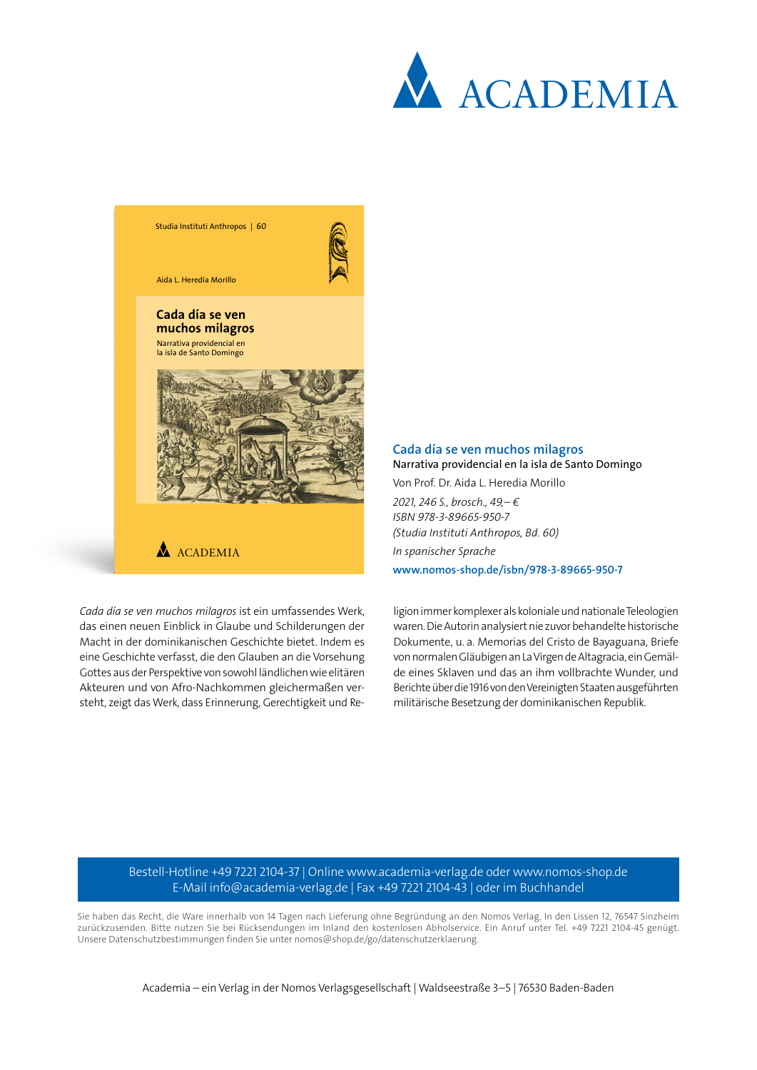



Macht in der dominikanischen Geschichte bietet. Indem es eine Geschichte verfasst, die den Glauben an die Vorsehung Gottes aus der Perspektive von sowohl ländlichen wie elitären Akteuren und von Afro-Nachkommen gleichermaßen versteht, zeigt das Werk, dass Erinnerung, Gerechtigkeit und Rewaren. Die Autorin analysiert nie zuvor behandelte historische Dokumente, u. a. Memorias del Cristo de Bayaguana, Briefe von normalen Gläubigen an La Virgen de Altagracia, ein Gemälde eines Sklaven und das an ihm vollbrachte Wunder, und Berichte über die 1916 von den Vereinigten Staaten ausgeführten militärische Besetzung der dominikanischen Republik.

Bestell-Hotline +49 7221 2104-37 | Online www.academia-verlag.de oder www.nomos-shop.de E-Mail info@academia-verlag.de | Fax +49 7221 2104-43 | oder im Buchhandel

Sie haben das Recht, die Ware innerhalb von 14 Tagen nach Lieferung ohne Begründung an den Nomos Verlag, In den Lissen 12, 76547 Sinzheim zurückzusenden. Bitte nutzen Sie bei Rücksendungen im Inland den kostenlosen Abholservice. Ein Anruf unter Tel. +49 7221 2104-45 genügt. Unsere Datenschutzbestimmungen finden Sie unter nomos@shop.de/go/datenschutzerklaerung.

Academia – ein Verlag in der Nomos Verlagsgesellschaft | Waldseestraße 3–5 | 76530 Baden-Baden